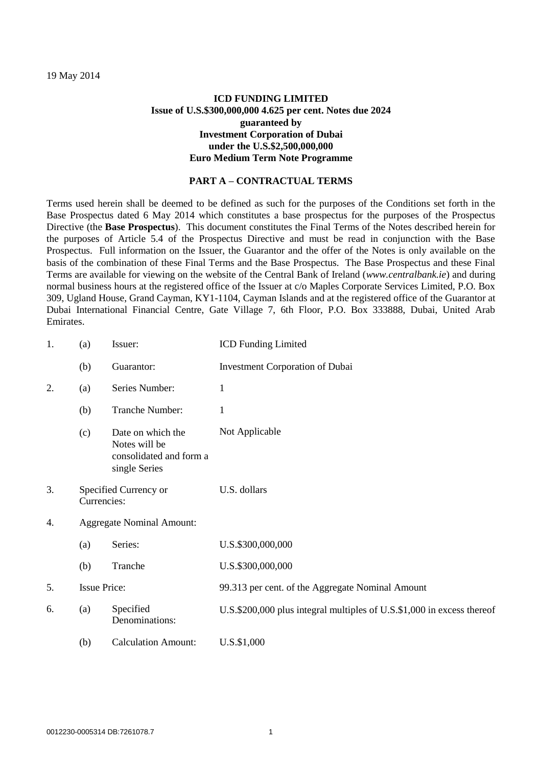19 May 2014

## **ICD FUNDING LIMITED Issue of U.S.\$300,000,000 4.625 per cent. Notes due 2024 guaranteed by Investment Corporation of Dubai under the U.S.\$2,500,000,000 Euro Medium Term Note Programme**

### **PART A – CONTRACTUAL TERMS**

Terms used herein shall be deemed to be defined as such for the purposes of the Conditions set forth in the Base Prospectus dated 6 May 2014 which constitutes a base prospectus for the purposes of the Prospectus Directive (the **Base Prospectus**). This document constitutes the Final Terms of the Notes described herein for the purposes of Article 5.4 of the Prospectus Directive and must be read in conjunction with the Base Prospectus. Full information on the Issuer, the Guarantor and the offer of the Notes is only available on the basis of the combination of these Final Terms and the Base Prospectus. The Base Prospectus and these Final Terms are available for viewing on the website [of](file:///C:/Users/ballma/AppData/Roaming/OpenText/DM/Temp/of) the Central Bank of Ireland (*www.centralbank.ie*) and during normal business hours at the registered office of the Issuer at c/o Maples Corporate Services Limited, P.O. Box 309, Ugland House, Grand Cayman, KY1-1104, Cayman Islands and at the registered office of the Guarantor at Dubai International Financial Centre, Gate Village 7, 6th Floor, P.O. Box 333888, Dubai, United Arab Emirates.

| 1. | (a)                                  | Issuer:                                                                        | <b>ICD Funding Limited</b>                                             |  |
|----|--------------------------------------|--------------------------------------------------------------------------------|------------------------------------------------------------------------|--|
|    | (b)                                  | Guarantor:                                                                     | <b>Investment Corporation of Dubai</b>                                 |  |
| 2. | (a)                                  | Series Number:                                                                 | $\mathbf{1}$                                                           |  |
|    | (b)                                  | Tranche Number:                                                                | 1                                                                      |  |
|    | (c)                                  | Date on which the<br>Notes will be<br>consolidated and form a<br>single Series | Not Applicable                                                         |  |
| 3. | Specified Currency or<br>Currencies: |                                                                                | U.S. dollars                                                           |  |
| 4. | <b>Aggregate Nominal Amount:</b>     |                                                                                |                                                                        |  |
|    | (a)                                  | Series:                                                                        | U.S.\$300,000,000                                                      |  |
|    | (b)                                  | Tranche                                                                        | U.S.\$300,000,000                                                      |  |
| 5. | <b>Issue Price:</b>                  |                                                                                | 99.313 per cent. of the Aggregate Nominal Amount                       |  |
| 6. | (a)                                  | Specified<br>Denominations:                                                    | U.S.\$200,000 plus integral multiples of U.S.\$1,000 in excess thereof |  |
|    | (b)                                  | <b>Calculation Amount:</b>                                                     | U.S.\$1,000                                                            |  |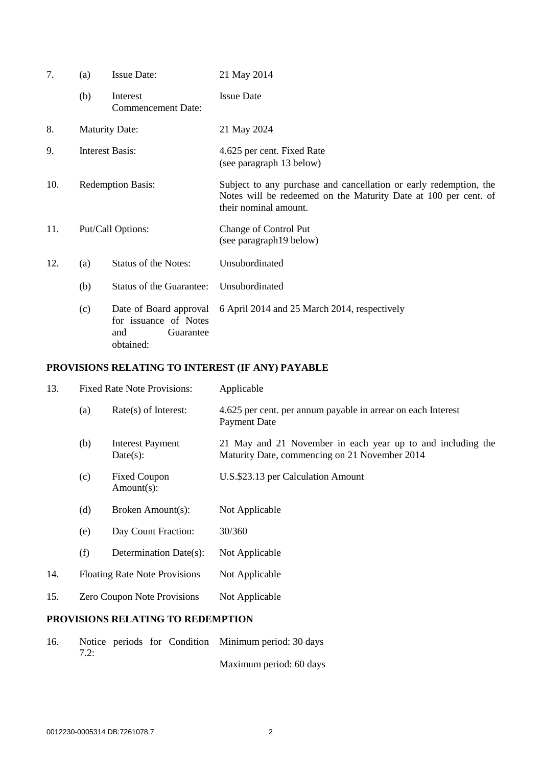| 7.  | (a)                      | <b>Issue Date:</b>                                                               | 21 May 2014                                                                                                                                                   |
|-----|--------------------------|----------------------------------------------------------------------------------|---------------------------------------------------------------------------------------------------------------------------------------------------------------|
|     | (b)                      | Interest<br><b>Commencement Date:</b>                                            | <b>Issue Date</b>                                                                                                                                             |
| 8.  |                          | <b>Maturity Date:</b>                                                            | 21 May 2024                                                                                                                                                   |
| 9.  | <b>Interest Basis:</b>   |                                                                                  | 4.625 per cent. Fixed Rate<br>(see paragraph 13 below)                                                                                                        |
| 10. | <b>Redemption Basis:</b> |                                                                                  | Subject to any purchase and cancellation or early redemption, the<br>Notes will be redeemed on the Maturity Date at 100 per cent. of<br>their nominal amount. |
| 11. |                          | Put/Call Options:                                                                | Change of Control Put<br>(see paragraph19 below)                                                                                                              |
| 12. | (a)                      | <b>Status of the Notes:</b>                                                      | Unsubordinated                                                                                                                                                |
|     | (b)                      | <b>Status of the Guarantee:</b>                                                  | Unsubordinated                                                                                                                                                |
|     | (c)                      | Date of Board approval<br>for issuance of Notes<br>and<br>Guarantee<br>obtained: | 6 April 2014 and 25 March 2014, respectively                                                                                                                  |

# **PROVISIONS RELATING TO INTEREST (IF ANY) PAYABLE**

<span id="page-1-0"></span>

| 13. | <b>Fixed Rate Note Provisions:</b>                                                                                                                                                |                        | Applicable                                                                                                   |  |
|-----|-----------------------------------------------------------------------------------------------------------------------------------------------------------------------------------|------------------------|--------------------------------------------------------------------------------------------------------------|--|
|     | $Rate(s)$ of Interest:<br>(a)<br>(b)<br><b>Interest Payment</b><br>Date(s):<br>(c)<br><b>Fixed Coupon</b><br>Amount(s):<br>(d)<br>Broken Amount(s):<br>(e)<br>Day Count Fraction: |                        | 4.625 per cent. per annum payable in arrear on each Interest<br><b>Payment Date</b>                          |  |
|     |                                                                                                                                                                                   |                        | 21 May and 21 November in each year up to and including the<br>Maturity Date, commencing on 21 November 2014 |  |
|     |                                                                                                                                                                                   |                        | U.S.\$23.13 per Calculation Amount                                                                           |  |
|     |                                                                                                                                                                                   |                        | Not Applicable                                                                                               |  |
|     |                                                                                                                                                                                   |                        | 30/360                                                                                                       |  |
|     | (f)                                                                                                                                                                               | Determination Date(s): | Not Applicable                                                                                               |  |
| 14. | <b>Floating Rate Note Provisions</b>                                                                                                                                              |                        | Not Applicable                                                                                               |  |
| 15. | Zero Coupon Note Provisions                                                                                                                                                       |                        | Not Applicable                                                                                               |  |
|     |                                                                                                                                                                                   |                        |                                                                                                              |  |

## **PROVISIONS RELATING TO REDEMPTION**

| 16. |  |  | Notice periods for Condition Minimum period: 30 days |
|-----|--|--|------------------------------------------------------|
|     |  |  |                                                      |
|     |  |  |                                                      |

Maximum period: 60 days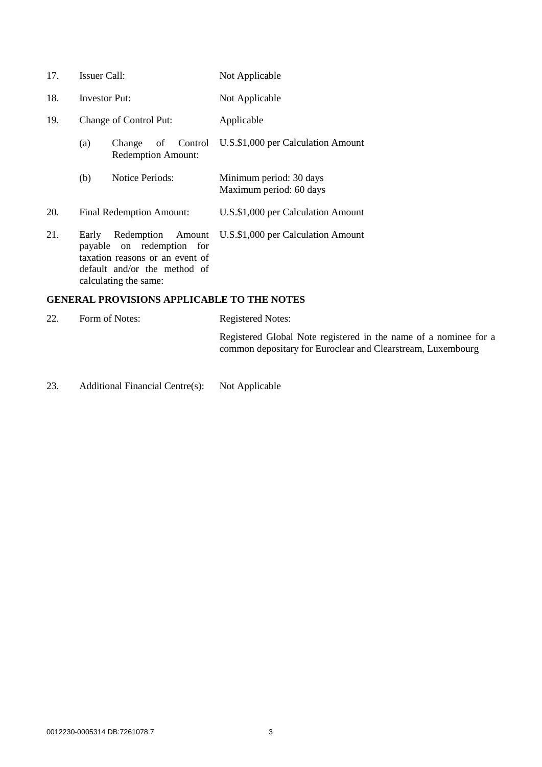- 17. Issuer Call: Not Applicable
- 18. Investor Put: Not Applicable
- <span id="page-2-0"></span>19. Change of Control Put: Applicable
	- (a) Change of Control Redemption Amount: U.S.\$1,000 per Calculation Amount
	- (b) Notice Periods: Minimum period: 30 days Maximum period: 60 days
- 20. Final Redemption Amount: U.S.\$1,000 per Calculation Amount
- 21. Early Redemption Amount payable on redemption for taxation reasons or an event of default and/or the method of calculating the same: U.S.\$1,000 per Calculation Amount

### **GENERAL PROVISIONS APPLICABLE TO THE NOTES**

| 22. | Form of Notes: | Registered Notes:                                                                                                               |  |
|-----|----------------|---------------------------------------------------------------------------------------------------------------------------------|--|
|     |                | Registered Global Note registered in the name of a nominee for a<br>common depositary for Euroclear and Clearstream, Luxembourg |  |

23. Additional Financial Centre(s): Not Applicable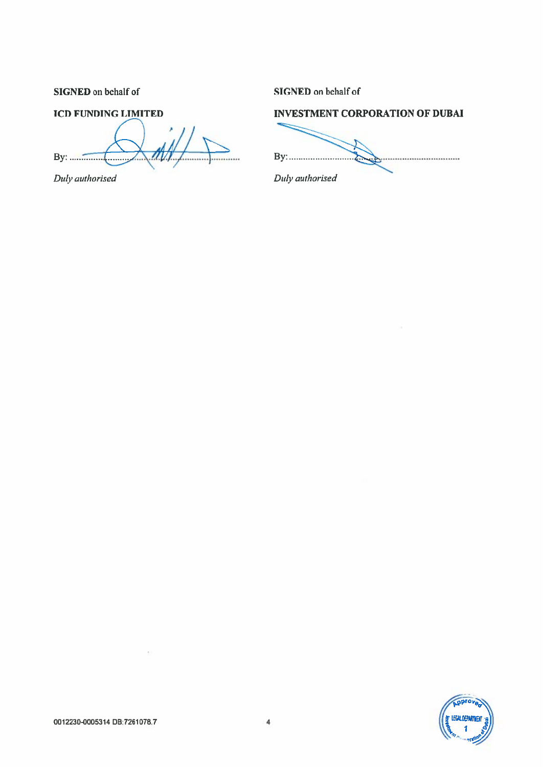SIGNED on behalf of

# SIGNED on behalf of

## **ICD FUNDING LIMITED**

Duly authorised

## **INVESTMENT CORPORATION OF DUBAI**

Duly authorised

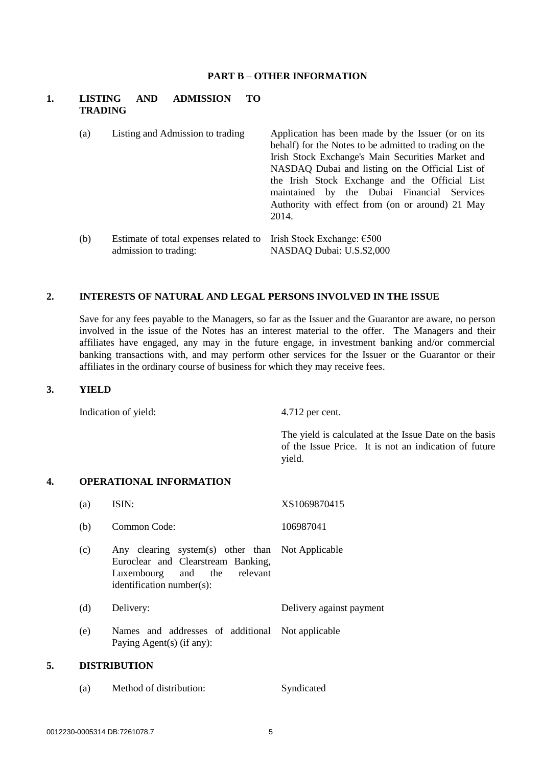#### **PART B – OTHER INFORMATION**

### **1. LISTING AND ADMISSION TO TRADING**

- (a) Listing and Admission to trading Application has been made by the Issuer (or on its behalf) for the Notes to be admitted to trading on the Irish Stock Exchange's Main Securities Market and NASDAQ Dubai and listing on the Official List of the Irish Stock Exchange and the Official List maintained by the Dubai Financial Services Authority with effect from (on or around) 21 May 2014. (b) Estimate of total expenses related to Irish Stock Exchange: €500
- admission to trading: NASDAQ Dubai: U.S.\$2,000

### **2. INTERESTS OF NATURAL AND LEGAL PERSONS INVOLVED IN THE ISSUE**

Save for any fees payable to the Managers, so far as the Issuer and the Guarantor are aware, no person involved in the issue of the Notes has an interest material to the offer. The Managers and their affiliates have engaged, any may in the future engage, in investment banking and/or commercial banking transactions with, and may perform other services for the Issuer or the Guarantor or their affiliates in the ordinary course of business for which they may receive fees.

#### **3. YIELD**

Indication of yield: 4.712 per cent.

The yield is calculated at the Issue Date on the basis of the Issue Price. It is not an indication of future yield.

### **4. OPERATIONAL INFORMATION**

| (a) | ISIN:                                                                                                                                              | XS1069870415             |
|-----|----------------------------------------------------------------------------------------------------------------------------------------------------|--------------------------|
| (b) | Common Code:                                                                                                                                       | 106987041                |
| (c) | Any clearing system(s) other than Not Applicable<br>Euroclear and Clearstream Banking,<br>Luxembourg and the relevant<br>identification number(s): |                          |
| (d) | Delivery:                                                                                                                                          | Delivery against payment |
| (e) | Names and addresses of additional Not applicable<br>Paying Agent(s) (if any):                                                                      |                          |
|     | <b>DIGTDIDITION</b>                                                                                                                                |                          |

## **5. DISTRIBUTION**

| (a) | Method of distribution: | Syndicated |
|-----|-------------------------|------------|
|     |                         |            |